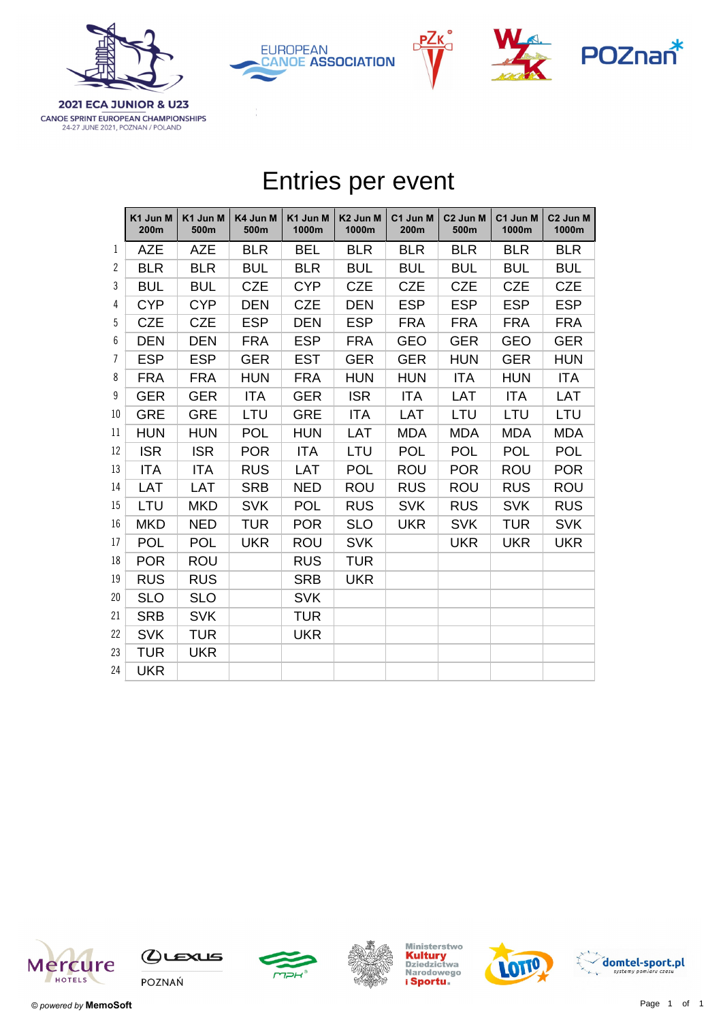







**2021 ECA JUNIOR & U23** CANOE SPRINT EUROPEAN CHAMPIONSHIPS 24-27 JUNE 2021, POZNAN / POLAND

|                | Entries per event |                  |                  |                   |                               |                  |                              |                   |                               |  |
|----------------|-------------------|------------------|------------------|-------------------|-------------------------------|------------------|------------------------------|-------------------|-------------------------------|--|
|                | K1 Jun M<br>200m  | K1 Jun M<br>500m | K4 Jun M<br>500m | K1 Jun M<br>1000m | K <sub>2</sub> Jun M<br>1000m | C1 Jun M<br>200m | C <sub>2</sub> Jun M<br>500m | C1 Jun M<br>1000m | C <sub>2</sub> Jun M<br>1000m |  |
| 1              | <b>AZE</b>        | <b>AZE</b>       | <b>BLR</b>       | <b>BEL</b>        | <b>BLR</b>                    | <b>BLR</b>       | <b>BLR</b>                   | <b>BLR</b>        | <b>BLR</b>                    |  |
| $\overline{2}$ | <b>BLR</b>        | <b>BLR</b>       | <b>BUL</b>       | <b>BLR</b>        | <b>BUL</b>                    | <b>BUL</b>       | <b>BUL</b>                   | <b>BUL</b>        | <b>BUL</b>                    |  |
| 3              | <b>BUL</b>        | <b>BUL</b>       | <b>CZE</b>       | <b>CYP</b>        | <b>CZE</b>                    | <b>CZE</b>       | <b>CZE</b>                   | <b>CZE</b>        | <b>CZE</b>                    |  |
| 4              | <b>CYP</b>        | <b>CYP</b>       | <b>DEN</b>       | <b>CZE</b>        | <b>DEN</b>                    | <b>ESP</b>       | <b>ESP</b>                   | <b>ESP</b>        | <b>ESP</b>                    |  |
| 5              | <b>CZE</b>        | <b>CZE</b>       | <b>ESP</b>       | <b>DEN</b>        | <b>ESP</b>                    | <b>FRA</b>       | <b>FRA</b>                   | <b>FRA</b>        | <b>FRA</b>                    |  |
| 6              | <b>DEN</b>        | <b>DEN</b>       | <b>FRA</b>       | <b>ESP</b>        | <b>FRA</b>                    | <b>GEO</b>       | <b>GER</b>                   | <b>GEO</b>        | <b>GER</b>                    |  |
| $\overline{1}$ | <b>ESP</b>        | <b>ESP</b>       | <b>GER</b>       | <b>EST</b>        | <b>GER</b>                    | <b>GER</b>       | <b>HUN</b>                   | <b>GER</b>        | <b>HUN</b>                    |  |
| 8              | <b>FRA</b>        | <b>FRA</b>       | <b>HUN</b>       | <b>FRA</b>        | <b>HUN</b>                    | <b>HUN</b>       | <b>ITA</b>                   | <b>HUN</b>        | <b>ITA</b>                    |  |
| 9              | <b>GER</b>        | <b>GER</b>       | <b>ITA</b>       | <b>GER</b>        | <b>ISR</b>                    | <b>ITA</b>       | LAT                          | <b>ITA</b>        | <b>LAT</b>                    |  |
| 10             | <b>GRE</b>        | <b>GRE</b>       | LTU              | <b>GRE</b>        | <b>ITA</b>                    | LAT              | LTU                          | LTU               | LTU                           |  |
| 11             | <b>HUN</b>        | <b>HUN</b>       | <b>POL</b>       | <b>HUN</b>        | LAT                           | <b>MDA</b>       | <b>MDA</b>                   | <b>MDA</b>        | <b>MDA</b>                    |  |
| 12             | <b>ISR</b>        | <b>ISR</b>       | <b>POR</b>       | <b>ITA</b>        | LTU                           | <b>POL</b>       | <b>POL</b>                   | <b>POL</b>        | <b>POL</b>                    |  |
| 13             | <b>ITA</b>        | <b>ITA</b>       | <b>RUS</b>       | <b>LAT</b>        | <b>POL</b>                    | <b>ROU</b>       | <b>POR</b>                   | <b>ROU</b>        | <b>POR</b>                    |  |
| 14             | <b>LAT</b>        | LAT              | <b>SRB</b>       | <b>NED</b>        | <b>ROU</b>                    | <b>RUS</b>       | <b>ROU</b>                   | <b>RUS</b>        | <b>ROU</b>                    |  |
| 15             | LTU               | <b>MKD</b>       | <b>SVK</b>       | <b>POL</b>        | <b>RUS</b>                    | <b>SVK</b>       | <b>RUS</b>                   | <b>SVK</b>        | <b>RUS</b>                    |  |
| 16             | <b>MKD</b>        | <b>NED</b>       | <b>TUR</b>       | <b>POR</b>        | <b>SLO</b>                    | <b>UKR</b>       | <b>SVK</b>                   | <b>TUR</b>        | <b>SVK</b>                    |  |
| 17             | <b>POL</b>        | <b>POL</b>       | <b>UKR</b>       | <b>ROU</b>        | <b>SVK</b>                    |                  | <b>UKR</b>                   | <b>UKR</b>        | <b>UKR</b>                    |  |
| 18             | <b>POR</b>        | <b>ROU</b>       |                  | <b>RUS</b>        | <b>TUR</b>                    |                  |                              |                   |                               |  |
| 19             | <b>RUS</b>        | <b>RUS</b>       |                  | <b>SRB</b>        | <b>UKR</b>                    |                  |                              |                   |                               |  |
| 20             | <b>SLO</b>        | <b>SLO</b>       |                  | <b>SVK</b>        |                               |                  |                              |                   |                               |  |
| 21             | <b>SRB</b>        | <b>SVK</b>       |                  | <b>TUR</b>        |                               |                  |                              |                   |                               |  |
| 22             | <b>SVK</b>        | <b>TUR</b>       |                  | <b>UKR</b>        |                               |                  |                              |                   |                               |  |
| 23             | <b>TUR</b>        | <b>UKR</b>       |                  |                   |                               |                  |                              |                   |                               |  |
| 24             | <b>UKR</b>        |                  |                  |                   |                               |                  |                              |                   |                               |  |